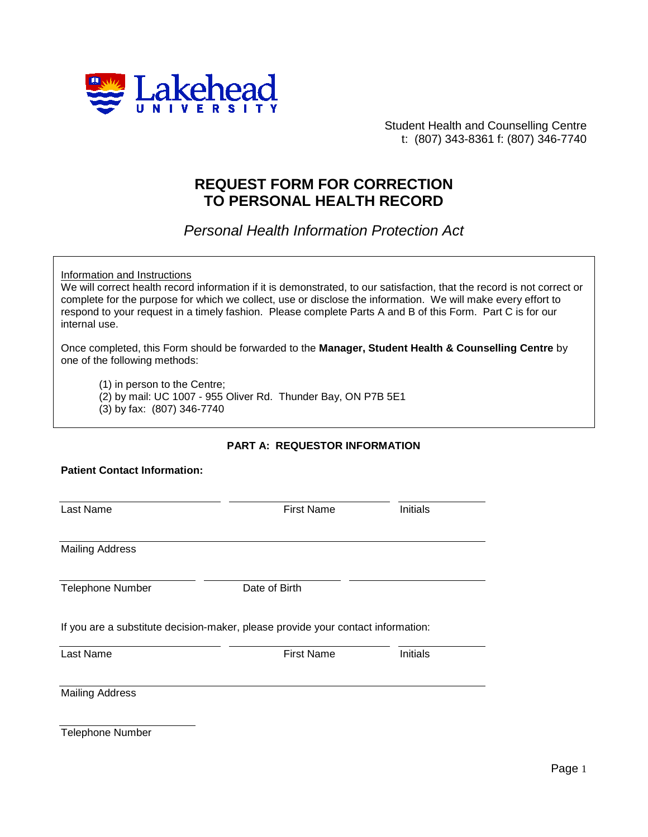

Student Health and Counselling Centre t: (807) 343-8361 f: (807) 346-7740

## **REQUEST FORM FOR CORRECTION TO PERSONAL HEALTH RECORD**

*Personal Health Information Protection Act*

Information and Instructions

**Patient Contact Information:**

We will correct health record information if it is demonstrated, to our satisfaction, that the record is not correct or complete for the purpose for which we collect, use or disclose the information. We will make every effort to respond to your request in a timely fashion. Please complete Parts A and B of this Form. Part C is for our internal use.

Once completed, this Form should be forwarded to the **Manager, Student Health & Counselling Centre** by one of the following methods:

(1) in person to the Centre; (2) by mail: UC 1007 - 955 Oliver Rd. Thunder Bay, ON P7B 5E1 (3) by fax: (807) 346-7740

## **PART A: REQUESTOR INFORMATION**

| Last Name              | <b>First Name</b>                                                                | Initials |  |  |
|------------------------|----------------------------------------------------------------------------------|----------|--|--|
| <b>Mailing Address</b> |                                                                                  |          |  |  |
| Telephone Number       | Date of Birth                                                                    |          |  |  |
|                        | If you are a substitute decision-maker, please provide your contact information: |          |  |  |
| Last Name              | <b>First Name</b>                                                                | Initials |  |  |

Telephone Number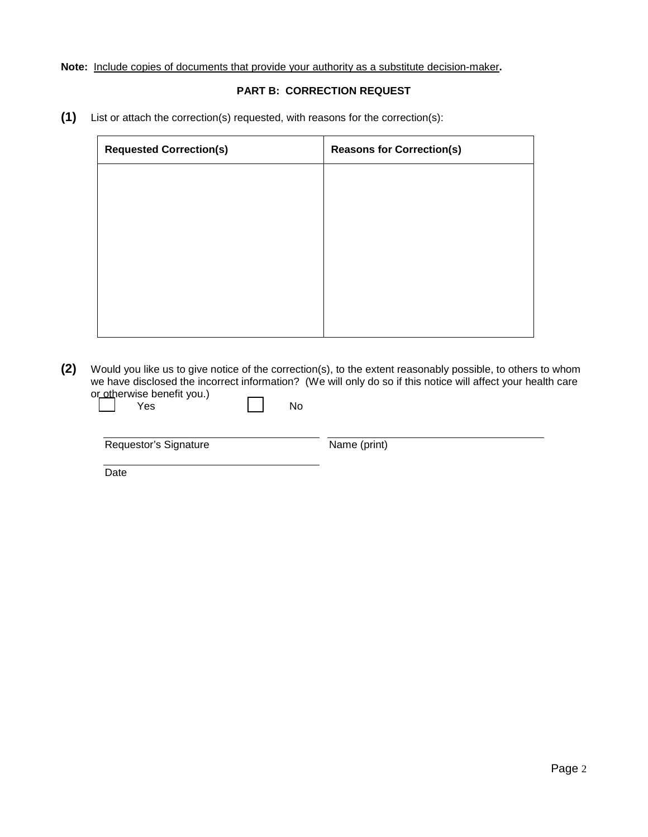## **Note:** Include copies of documents that provide your authority as a substitute decision-maker**.**

## **PART B: CORRECTION REQUEST**

**(1)** List or attach the correction(s) requested, with reasons for the correction(s):

| <b>Requested Correction(s)</b> | <b>Reasons for Correction(s)</b> |  |  |
|--------------------------------|----------------------------------|--|--|
|                                |                                  |  |  |
|                                |                                  |  |  |
|                                |                                  |  |  |
|                                |                                  |  |  |
|                                |                                  |  |  |
|                                |                                  |  |  |
|                                |                                  |  |  |

**(2)** Would you like us to give notice of the correction(s), to the extent reasonably possible, to others to whom we have disclosed the incorrect information? (We will only do so if this notice will affect your health care or otherwise benefit you.)  $\overline{a}$ 

| Yes                   | No |              |
|-----------------------|----|--------------|
| Requestor's Signature |    | Name (print) |
| Date                  |    |              |